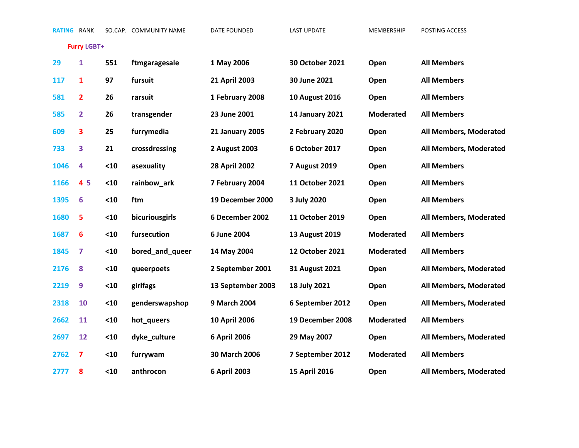**Furry LGBT+**

| 29   | $\mathbf{1}$    | 551  | ftmgaragesale   | 1 May 2006             | 30 October 2021        | Open             | <b>All Members</b>     |
|------|-----------------|------|-----------------|------------------------|------------------------|------------------|------------------------|
| 117  | 1               | 97   | fursuit         | 21 April 2003          | 30 June 2021           | Open             | <b>All Members</b>     |
| 581  | $\overline{2}$  | 26   | rarsuit         | 1 February 2008        | <b>10 August 2016</b>  | Open             | <b>All Members</b>     |
| 585  | $\overline{2}$  | 26   | transgender     | 23 June 2001           | <b>14 January 2021</b> | <b>Moderated</b> | <b>All Members</b>     |
| 609  | 3               | 25   | furrymedia      | <b>21 January 2005</b> | 2 February 2020        | Open             | All Members, Moderated |
| 733  | 3               | 21   | crossdressing   | 2 August 2003          | 6 October 2017         | Open             | All Members, Moderated |
| 1046 | 4               | $10$ | asexuality      | <b>28 April 2002</b>   | 7 August 2019          | Open             | <b>All Members</b>     |
| 1166 | 45              | $10$ | rainbow_ark     | 7 February 2004        | 11 October 2021        | Open             | <b>All Members</b>     |
| 1395 | $6\phantom{1}6$ | $10$ | ftm             | 19 December 2000       | 3 July 2020            | Open             | <b>All Members</b>     |
| 1680 | 5               | $10$ | bicuriousgirls  | 6 December 2002        | 11 October 2019        | Open             | All Members, Moderated |
| 1687 | 6               | $10$ | fursecution     | 6 June 2004            | 13 August 2019         | <b>Moderated</b> | <b>All Members</b>     |
| 1845 | 7               | $10$ | bored and queer | 14 May 2004            | 12 October 2021        | <b>Moderated</b> | <b>All Members</b>     |
| 2176 | 8               | $10$ | queerpoets      | 2 September 2001       | 31 August 2021         | Open             | All Members, Moderated |
| 2219 | 9               | $10$ | girlfags        | 13 September 2003      | 18 July 2021           | Open             | All Members, Moderated |
| 2318 | 10              | $10$ | genderswapshop  | 9 March 2004           | 6 September 2012       | Open             | All Members, Moderated |
| 2662 | 11              | $10$ | hot_queers      | <b>10 April 2006</b>   | 19 December 2008       | <b>Moderated</b> | <b>All Members</b>     |
| 2697 | 12              | $10$ | dyke_culture    | 6 April 2006           | 29 May 2007            | Open             | All Members, Moderated |
| 2762 | 7               | $10$ | furrywam        | 30 March 2006          | 7 September 2012       | <b>Moderated</b> | <b>All Members</b>     |
| 2777 | 8               | $10$ | anthrocon       | 6 April 2003           | <b>15 April 2016</b>   | Open             | All Members, Moderated |